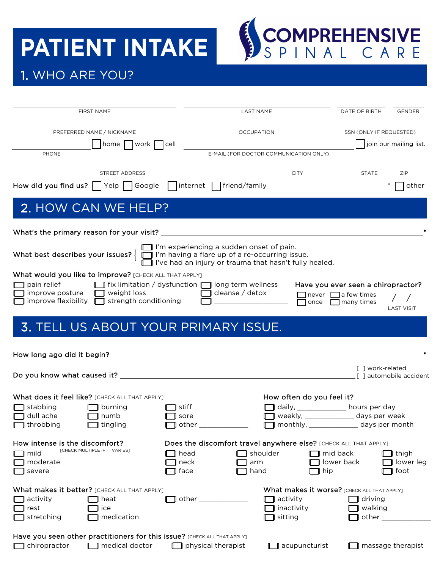## **PATIENT INTAKE**



## 1. WHO ARE YOU?

|                                      | <b>FIRST NAME</b>                                                                      |                                  | <b>LAST NAME</b>                                                                                                                                                                                                   |                           | DATE OF BIRTH                                                                                       | GENDER                  |
|--------------------------------------|----------------------------------------------------------------------------------------|----------------------------------|--------------------------------------------------------------------------------------------------------------------------------------------------------------------------------------------------------------------|---------------------------|-----------------------------------------------------------------------------------------------------|-------------------------|
|                                      | PREFERRED NAME / NICKNAME                                                              |                                  | <b>OCCUPATION</b>                                                                                                                                                                                                  |                           | SSN (ONLY IF REQUESTED)                                                                             |                         |
| PHONE                                | home     work     cell                                                                 |                                  | E-MAIL (FOR DOCTOR COMMUNICATION ONLY)                                                                                                                                                                             |                           |                                                                                                     | join our mailing list.  |
|                                      | STREET ADDRESS                                                                         |                                  |                                                                                                                                                                                                                    | <b>CITY</b>               | <b>STATE</b>                                                                                        | ZIP                     |
|                                      |                                                                                        |                                  | How did you find us? TVelp TGoogle Tinternet Timend/family _____________________                                                                                                                                   |                           |                                                                                                     | other                   |
|                                      | 2. HOW CAN WE HELP?                                                                    |                                  |                                                                                                                                                                                                                    |                           |                                                                                                     |                         |
|                                      |                                                                                        |                                  |                                                                                                                                                                                                                    |                           |                                                                                                     |                         |
|                                      |                                                                                        |                                  | $\Box$ I'm experiencing a sudden onset of pain.<br>What best describes your issues? $\left\{\Box\right\}$ I'm having a flare up of a re-occurring issue.<br>I've had an injury or trauma that hasn't fully healed. |                           |                                                                                                     |                         |
|                                      | What would you like to improve? [CHECK ALL THAT APPLY]                                 |                                  |                                                                                                                                                                                                                    |                           |                                                                                                     |                         |
| pain relief                          | improve posture $\Box$ weight loss<br>improve flexibility $\Box$ strength conditioning |                                  | ■ fix limitation / dysfunction ■ long term wellness ■<br>$\Box$ cleanse / detox                                                                                                                                    |                           | Have you ever seen a chiropractor?<br>$\Box$ never $\Box$ a few times<br>once <b>many</b> times / / | <b>LAST VISIT</b>       |
|                                      | <b>3. TELL US ABOUT YOUR PRIMARY ISSUE.</b>                                            |                                  |                                                                                                                                                                                                                    |                           |                                                                                                     |                         |
|                                      |                                                                                        |                                  |                                                                                                                                                                                                                    |                           |                                                                                                     |                         |
|                                      |                                                                                        |                                  |                                                                                                                                                                                                                    |                           | [ ] work-related                                                                                    | [ ] automobile accident |
|                                      | What does it feel like? [CHECK ALL THAT APPLY]                                         |                                  |                                                                                                                                                                                                                    | How often do you feel it? |                                                                                                     |                         |
| $\Box$ ] stabbing                    | $\Box$ burning                                                                         | $\blacksquare$ stiff             |                                                                                                                                                                                                                    |                           | daily, ____________ hours per day                                                                   |                         |
| $\Box$ dull ache<br>$\Box$ throbbing | $\Box$ numb<br>$\Box$ tingling                                                         | $\mathsf T$ sore<br>$\Box$ other |                                                                                                                                                                                                                    |                           | weekly, ______________ days per week<br>monthly, ______________ days per month                      |                         |
| How intense is the discomfort?       |                                                                                        |                                  | Does the discomfort travel anywhere else? [CHECK ALL THAT APPLY]                                                                                                                                                   |                           |                                                                                                     |                         |
| mild                                 | <b>[CHECK MULTIPLE IF IT VARIES]</b>                                                   | ll head                          | shoulder [                                                                                                                                                                                                         |                           | ] mid back                                                                                          | thigh                   |
| moderate<br>severe                   |                                                                                        | neck<br>face                     | arm<br>hand                                                                                                                                                                                                        | hip                       | lower back                                                                                          | lower leg<br>foot       |
|                                      | What makes it better? [CHECK ALL THAT APPLY]                                           |                                  |                                                                                                                                                                                                                    |                           | What makes it worse? [CHECK ALL THAT APPLY]                                                         |                         |
| activity                             | ¶ heat                                                                                 |                                  | activity<br>other ____________                                                                                                                                                                                     |                           | $\Box$ driving                                                                                      |                         |
| rest<br>stretching                   | ice<br>medication                                                                      |                                  | sitting                                                                                                                                                                                                            | inactivity                | walking<br>other $\_\_$                                                                             |                         |
|                                      | Have you seen other practitioners for this issue? [CHECK ALL THAT APPLY]               |                                  |                                                                                                                                                                                                                    |                           |                                                                                                     |                         |
| chiropractor                         | $\Box$ medical doctor                                                                  |                                  | $\Box$ physical therapist                                                                                                                                                                                          | $\Box$ acupuncturist      |                                                                                                     | massage therapist       |